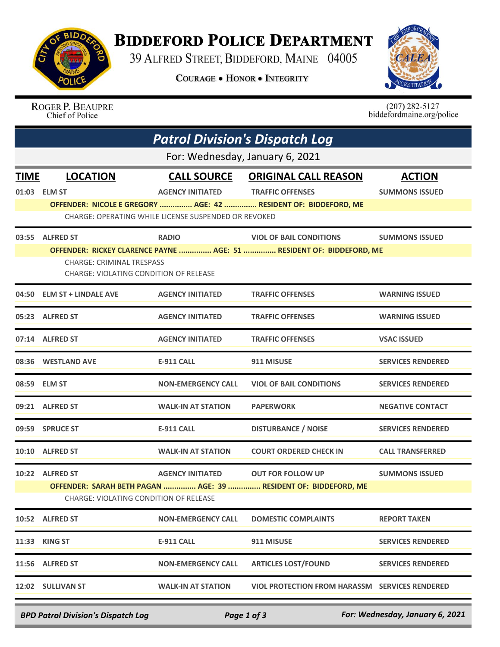

## **BIDDEFORD POLICE DEPARTMENT**

39 ALFRED STREET, BIDDEFORD, MAINE 04005

**COURAGE . HONOR . INTEGRITY** 



ROGER P. BEAUPRE Chief of Police

 $(207)$  282-5127<br>biddefordmaine.org/police

|                                        | <b>Patrol Division's Dispatch Log</b>                                      |                           |                                                                      |                          |  |  |  |  |
|----------------------------------------|----------------------------------------------------------------------------|---------------------------|----------------------------------------------------------------------|--------------------------|--|--|--|--|
|                                        | For: Wednesday, January 6, 2021                                            |                           |                                                                      |                          |  |  |  |  |
| <b>TIME</b>                            | <b>LOCATION</b>                                                            | <b>CALL SOURCE</b>        | <b>ORIGINAL CALL REASON</b>                                          | <b>ACTION</b>            |  |  |  |  |
|                                        | 01:03 ELM ST                                                               | <b>AGENCY INITIATED</b>   | <b>TRAFFIC OFFENSES</b>                                              | <b>SUMMONS ISSUED</b>    |  |  |  |  |
|                                        |                                                                            |                           | OFFENDER: NICOLE E GREGORY  AGE: 42  RESIDENT OF: BIDDEFORD, ME      |                          |  |  |  |  |
|                                        | CHARGE: OPERATING WHILE LICENSE SUSPENDED OR REVOKED                       |                           |                                                                      |                          |  |  |  |  |
|                                        | 03:55 ALFRED ST                                                            | <b>RADIO</b>              | <b>VIOL OF BAIL CONDITIONS</b>                                       | <b>SUMMONS ISSUED</b>    |  |  |  |  |
|                                        |                                                                            |                           | OFFENDER: RICKEY CLARENCE PAYNE  AGE: 51  RESIDENT OF: BIDDEFORD, ME |                          |  |  |  |  |
|                                        | <b>CHARGE: CRIMINAL TRESPASS</b><br>CHARGE: VIOLATING CONDITION OF RELEASE |                           |                                                                      |                          |  |  |  |  |
|                                        |                                                                            |                           |                                                                      |                          |  |  |  |  |
| 04:50                                  | <b>ELM ST + LINDALE AVE</b>                                                | <b>AGENCY INITIATED</b>   | <b>TRAFFIC OFFENSES</b>                                              | <b>WARNING ISSUED</b>    |  |  |  |  |
|                                        | 05:23 ALFRED ST                                                            | <b>AGENCY INITIATED</b>   | <b>TRAFFIC OFFENSES</b>                                              | <b>WARNING ISSUED</b>    |  |  |  |  |
|                                        | 07:14 ALFRED ST                                                            | <b>AGENCY INITIATED</b>   | <b>TRAFFIC OFFENSES</b>                                              | <b>VSAC ISSUED</b>       |  |  |  |  |
|                                        | 08:36 WESTLAND AVE                                                         | <b>E-911 CALL</b>         | 911 MISUSE                                                           | <b>SERVICES RENDERED</b> |  |  |  |  |
|                                        | 08:59 ELM ST                                                               | <b>NON-EMERGENCY CALL</b> | <b>VIOL OF BAIL CONDITIONS</b>                                       | <b>SERVICES RENDERED</b> |  |  |  |  |
|                                        | 09:21 ALFRED ST                                                            | <b>WALK-IN AT STATION</b> | <b>PAPERWORK</b>                                                     | <b>NEGATIVE CONTACT</b>  |  |  |  |  |
|                                        | 09:59 SPRUCE ST                                                            | <b>E-911 CALL</b>         | <b>DISTURBANCE / NOISE</b>                                           | <b>SERVICES RENDERED</b> |  |  |  |  |
| 10:10                                  | <b>ALFRED ST</b>                                                           | <b>WALK-IN AT STATION</b> | <b>COURT ORDERED CHECK IN</b>                                        | <b>CALL TRANSFERRED</b>  |  |  |  |  |
|                                        | 10:22 ALFRED ST                                                            | <b>AGENCY INITIATED</b>   | <b>OUT FOR FOLLOW UP</b>                                             | <b>SUMMONS ISSUED</b>    |  |  |  |  |
|                                        |                                                                            |                           | OFFENDER: SARAH BETH PAGAN  AGE: 39  RESIDENT OF: BIDDEFORD, ME      |                          |  |  |  |  |
| CHARGE: VIOLATING CONDITION OF RELEASE |                                                                            |                           |                                                                      |                          |  |  |  |  |
|                                        | 10:52 ALFRED ST                                                            | <b>NON-EMERGENCY CALL</b> | <b>DOMESTIC COMPLAINTS</b>                                           | <b>REPORT TAKEN</b>      |  |  |  |  |
|                                        | 11:33 KING ST                                                              | <b>E-911 CALL</b>         | 911 MISUSE                                                           | <b>SERVICES RENDERED</b> |  |  |  |  |
|                                        | 11:56 ALFRED ST                                                            | <b>NON-EMERGENCY CALL</b> | <b>ARTICLES LOST/FOUND</b>                                           | <b>SERVICES RENDERED</b> |  |  |  |  |
|                                        | 12:02 SULLIVAN ST                                                          | <b>WALK-IN AT STATION</b> | <b>VIOL PROTECTION FROM HARASSM SERVICES RENDERED</b>                |                          |  |  |  |  |
|                                        |                                                                            |                           |                                                                      |                          |  |  |  |  |

*BPD Patrol Division's Dispatch Log Page 1 of 3 For: Wednesday, January 6, 2021*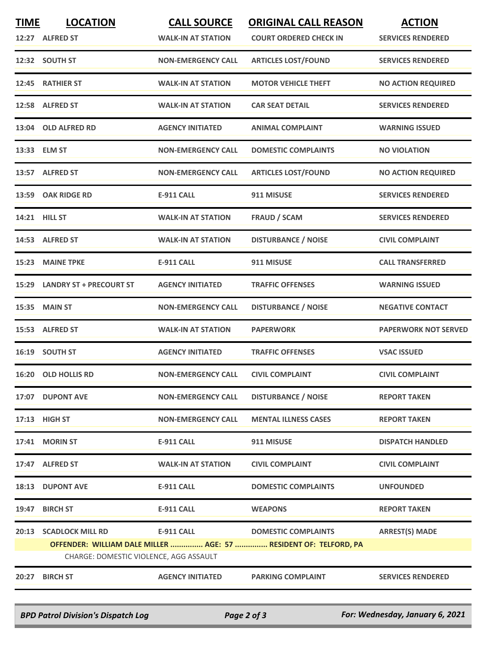| <b>TIME</b> | <b>LOCATION</b><br>12:27 ALFRED ST     | <b>CALL SOURCE</b><br><b>WALK-IN AT STATION</b> | <b>ORIGINAL CALL REASON</b><br><b>COURT ORDERED CHECK IN</b>     | <b>ACTION</b><br><b>SERVICES RENDERED</b> |
|-------------|----------------------------------------|-------------------------------------------------|------------------------------------------------------------------|-------------------------------------------|
|             | 12:32 SOUTH ST                         | <b>NON-EMERGENCY CALL</b>                       | <b>ARTICLES LOST/FOUND</b>                                       | <b>SERVICES RENDERED</b>                  |
|             |                                        |                                                 |                                                                  |                                           |
| 12:45       | <b>RATHIER ST</b>                      | <b>WALK-IN AT STATION</b>                       | <b>MOTOR VEHICLE THEFT</b>                                       | <b>NO ACTION REQUIRED</b>                 |
|             | 12:58 ALFRED ST                        | <b>WALK-IN AT STATION</b>                       | <b>CAR SEAT DETAIL</b>                                           | <b>SERVICES RENDERED</b>                  |
| 13:04       | <b>OLD ALFRED RD</b>                   | <b>AGENCY INITIATED</b>                         | <b>ANIMAL COMPLAINT</b>                                          | <b>WARNING ISSUED</b>                     |
|             | 13:33 ELM ST                           | <b>NON-EMERGENCY CALL</b>                       | <b>DOMESTIC COMPLAINTS</b>                                       | <b>NO VIOLATION</b>                       |
|             | 13:57 ALFRED ST                        | <b>NON-EMERGENCY CALL</b>                       | <b>ARTICLES LOST/FOUND</b>                                       | <b>NO ACTION REQUIRED</b>                 |
|             | 13:59 OAK RIDGE RD                     | <b>E-911 CALL</b>                               | 911 MISUSE                                                       | <b>SERVICES RENDERED</b>                  |
|             | 14:21 HILL ST                          | <b>WALK-IN AT STATION</b>                       | <b>FRAUD / SCAM</b>                                              | <b>SERVICES RENDERED</b>                  |
|             | 14:53 ALFRED ST                        | <b>WALK-IN AT STATION</b>                       | <b>DISTURBANCE / NOISE</b>                                       | <b>CIVIL COMPLAINT</b>                    |
|             | 15:23 MAINE TPKE                       | <b>E-911 CALL</b>                               | 911 MISUSE                                                       | <b>CALL TRANSFERRED</b>                   |
| 15:29       | <b>LANDRY ST + PRECOURT ST</b>         | <b>AGENCY INITIATED</b>                         | <b>TRAFFIC OFFENSES</b>                                          | <b>WARNING ISSUED</b>                     |
| 15:35       | <b>MAIN ST</b>                         | <b>NON-EMERGENCY CALL</b>                       | <b>DISTURBANCE / NOISE</b>                                       | <b>NEGATIVE CONTACT</b>                   |
|             | 15:53 ALFRED ST                        | <b>WALK-IN AT STATION</b>                       | <b>PAPERWORK</b>                                                 | <b>PAPERWORK NOT SERVED</b>               |
|             | 16:19 SOUTH ST                         | <b>AGENCY INITIATED</b>                         | <b>TRAFFIC OFFENSES</b>                                          | <b>VSAC ISSUED</b>                        |
|             | 16:20 OLD HOLLIS RD                    | <b>NON-EMERGENCY CALL</b>                       | <b>CIVIL COMPLAINT</b>                                           | <b>CIVIL COMPLAINT</b>                    |
|             | 17:07 DUPONT AVE                       | <b>NON-EMERGENCY CALL</b>                       | <b>DISTURBANCE / NOISE</b>                                       | <b>REPORT TAKEN</b>                       |
|             | 17:13 HIGH ST                          | <b>NON-EMERGENCY CALL</b>                       | <b>MENTAL ILLNESS CASES</b>                                      | <b>REPORT TAKEN</b>                       |
| 17:41       | <b>MORIN ST</b>                        | <b>E-911 CALL</b>                               | 911 MISUSE                                                       | <b>DISPATCH HANDLED</b>                   |
|             | 17:47 ALFRED ST                        | <b>WALK-IN AT STATION</b>                       | <b>CIVIL COMPLAINT</b>                                           | <b>CIVIL COMPLAINT</b>                    |
|             | <b>18:13 DUPONT AVE</b>                | <b>E-911 CALL</b>                               | <b>DOMESTIC COMPLAINTS</b>                                       | <b>UNFOUNDED</b>                          |
| 19:47       | <b>BIRCH ST</b>                        | <b>E-911 CALL</b>                               | <b>WEAPONS</b>                                                   | <b>REPORT TAKEN</b>                       |
| 20:13       | <b>SCADLOCK MILL RD</b>                | <b>E-911 CALL</b>                               | <b>DOMESTIC COMPLAINTS</b>                                       | <b>ARREST(S) MADE</b>                     |
|             |                                        |                                                 | OFFENDER: WILLIAM DALE MILLER  AGE: 57  RESIDENT OF: TELFORD, PA |                                           |
|             | CHARGE: DOMESTIC VIOLENCE, AGG ASSAULT |                                                 |                                                                  |                                           |
|             | 20:27 BIRCH ST                         | <b>AGENCY INITIATED</b>                         | <b>PARKING COMPLAINT</b>                                         | <b>SERVICES RENDERED</b>                  |

*BPD Patrol Division's Dispatch Log Page 2 of 3 For: Wednesday, January 6, 2021*